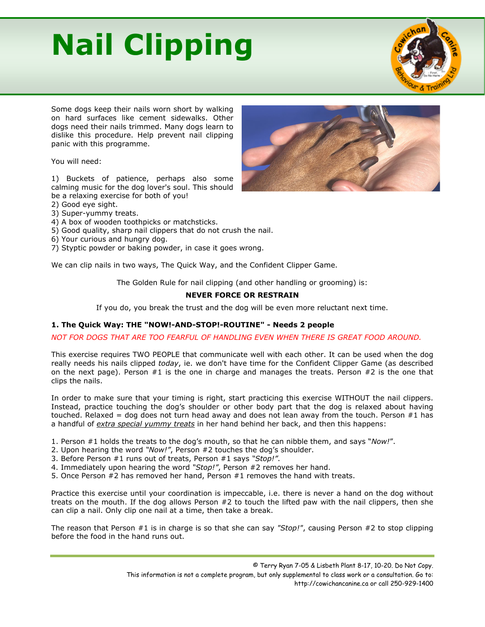# **Nail Clipping**



Some dogs keep their nails worn short by walking on hard surfaces like cement sidewalks. Other dogs need their nails trimmed. Many dogs learn to dislike this procedure. Help prevent nail clipping panic with this programme.

You will need:

1) Buckets of patience, perhaps also some calming music for the dog lover's soul. This should be a relaxing exercise for both of you!

2) Good eye sight.

- 3) Super-yummy treats.
- 4) A box of wooden toothpicks or matchsticks.
- 5) Good quality, sharp nail clippers that do not crush the nail.
- 6) Your curious and hungry dog.

7) Styptic powder or baking powder, in case it goes wrong.

We can clip nails in two ways, The Quick Way, and the Confident Clipper Game.

The Golden Rule for nail clipping (and other handling or grooming) is:

### **NEVER FORCE OR RESTRAIN**

If you do, you break the trust and the dog will be even more reluctant next time.

### **1. The Quick Way: THE "NOW!-AND-STOP!-ROUTINE" - Needs 2 people**

### *NOT FOR DOGS THAT ARE TOO FEARFUL OF HANDLING EVEN WHEN THERE IS GREAT FOOD AROUND.*

This exercise requires TWO PEOPLE that communicate well with each other. It can be used when the dog really needs his nails clipped *today*, ie. we don't have time for the Confident Clipper Game (as described on the next page). Person #1 is the one in charge and manages the treats. Person #2 is the one that clips the nails.

In order to make sure that your timing is right, start practicing this exercise WITHOUT the nail clippers. Instead, practice touching the dog's shoulder or other body part that the dog is relaxed about having touched. Relaxed = dog does not turn head away and does not lean away from the touch. Person  $#1$  has a handful of *extra special yummy treats* in her hand behind her back, and then this happens:

- 1. Person #1 holds the treats to the dog's mouth, so that he can nibble them, and says "*Now!*".
- 2. Upon hearing the word *"Now!"*, Person #2 touches the dog's shoulder.
- 3. Before Person #1 runs out of treats, Person #1 says *"Stop!"*.
- 4. Immediately upon hearing the word *"Stop!"*, Person #2 removes her hand.
- 5. Once Person #2 has removed her hand, Person #1 removes the hand with treats.

Practice this exercise until your coordination is impeccable, i.e. there is never a hand on the dog without treats on the mouth. If the dog allows Person #2 to touch the lifted paw with the nail clippers, then she can clip a nail. Only clip one nail at a time, then take a break.

The reason that Person #1 is in charge is so that she can say *"Stop!"*, causing Person #2 to stop clipping before the food in the hand runs out.